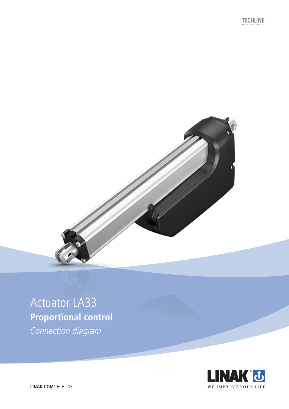**TECHLINE** 



## Actuator LA33 **Proportional control** Connection diagram



**LINAK.COM**/TECHLINE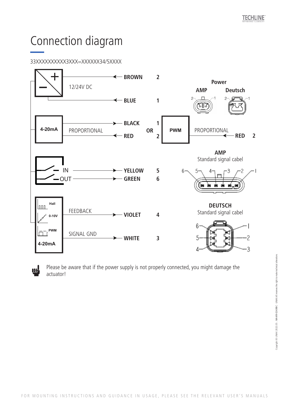# Connection diagram

## 33XXXXXXXXXX3XXX=XXXXXX34/5XXXX

**US** 



Please be aware that if the power supply is not properly connected, you might damage the actuator!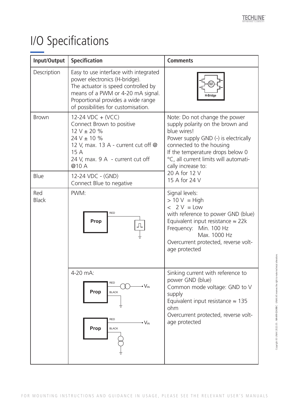# I/O Specifications

| Input/Output        | <b>Specification</b>                                                                                                                                                                                                            | <b>Comments</b>                                                                                                                                                                                                                                                                           |  |
|---------------------|---------------------------------------------------------------------------------------------------------------------------------------------------------------------------------------------------------------------------------|-------------------------------------------------------------------------------------------------------------------------------------------------------------------------------------------------------------------------------------------------------------------------------------------|--|
| Description         | Easy to use interface with integrated<br>power electronics (H-bridge).<br>The actuator is speed controlled by<br>means of a PWM or 4-20 mA signal.<br>Proportional provides a wide range<br>of possibilities for customisation. | H-Bridae                                                                                                                                                                                                                                                                                  |  |
| <b>Brown</b>        | 12-24 VDC + $(VCC)$<br>Connect Brown to positive<br>$12 V \pm 20 \%$<br>$24 V \pm 10 \%$<br>12 V, max. 13 A - current cut off @<br>15 A<br>24 V, max. 9 A - current cut off<br>@10A                                             | Note: Do not change the power<br>supply polarity on the brown and<br>blue wires!<br>Power supply GND (-) is electrically<br>connected to the housing<br>If the temperature drops below 0<br>°C, all current limits will automati-<br>cally increase to:<br>20 A for 12 V<br>15 A for 24 V |  |
| Blue                | 12-24 VDC - (GND)<br>Connect Blue to negative                                                                                                                                                                                   |                                                                                                                                                                                                                                                                                           |  |
| Red<br><b>Black</b> | PWM:<br><b>RED</b><br>Prop<br>$\prod\limits_{i=1}^{n}$                                                                                                                                                                          | Signal levels:<br>$> 10 V = High$<br>$< 2V = Low$<br>with reference to power GND (blue)<br>Equivalent input resistance $\approx$ 22k<br>Frequency: Min. 100 Hz<br>Max. 1000 Hz<br>Overcurrent protected, reverse volt-<br>age protected                                                   |  |
|                     | 4-20 mA:<br><b>RED</b><br>• Vin<br>Prop<br><b>BLACK</b><br>Ξ<br><b>RED</b><br>• Vin<br>Prop<br><b>BLACK</b>                                                                                                                     | Sinking current with reference to<br>power GND (blue)<br>Common mode voltage: GND to V<br>supply<br>Equivalent input resistance $\approx$ 135<br>ohm<br>Overcurrent protected, reverse volt-<br>age protected                                                                             |  |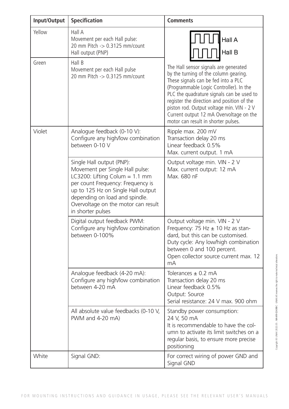| Input/Output | <b>Specification</b>                                                                                                                                                                                                                                                      | <b>Comments</b>                                                                                                                                                                                                                                                                                                                                                                            |  |
|--------------|---------------------------------------------------------------------------------------------------------------------------------------------------------------------------------------------------------------------------------------------------------------------------|--------------------------------------------------------------------------------------------------------------------------------------------------------------------------------------------------------------------------------------------------------------------------------------------------------------------------------------------------------------------------------------------|--|
| Yellow       | Hall A<br>Movement per each Hall pulse:<br>20 mm Pitch -> 0.3125 mm/count<br>Hall output (PNP)                                                                                                                                                                            | Hall A<br>Hall B                                                                                                                                                                                                                                                                                                                                                                           |  |
| Green        | Hall B<br>Movement per each Hall pulse<br>20 mm Pitch -> 0.3125 mm/count                                                                                                                                                                                                  | The Hall sensor signals are generated<br>by the turning of the column gearing.<br>These signals can be fed into a PLC<br>(Programmable Logic Controller). In the<br>PLC the quadrature signals can be used to<br>register the direction and position of the<br>piston rod. Output voltage min. VIN - 2 V<br>Current output 12 mA Overvoltage on the<br>motor can result in shorter pulses. |  |
| Violet       | Analogue feedback (0-10 V):<br>Configure any high/low combination<br>between 0-10 V                                                                                                                                                                                       | Ripple max. 200 mV<br>Transaction delay 20 ms<br>Linear feedback 0.5%<br>Max. current output. 1 mA                                                                                                                                                                                                                                                                                         |  |
|              | Single Hall output (PNP):<br>Movement per Single Hall pulse:<br>LC3200: Lifting Colum = $1.1$ mm<br>per count Frequency: Frequency is<br>up to 125 Hz on Single Hall output<br>depending on load and spindle.<br>Overvoltage on the motor can result<br>in shorter pulses | Output voltage min. VIN - 2 V<br>Max. current output: 12 mA<br>Max. 680 nF                                                                                                                                                                                                                                                                                                                 |  |
|              | Digital output feedback PWM:<br>Configure any high/low combination<br>between 0-100%                                                                                                                                                                                      | Output voltage min. VIN - 2 V<br>Frequency: 75 Hz $\pm$ 10 Hz as stan-<br>dard, but this can be customised.<br>Duty cycle: Any low/high combination<br>between 0 and 100 percent.<br>Open collector source current max. 12<br>mA                                                                                                                                                           |  |
|              | Analogue feedback (4-20 mA):<br>Configure any high/low combination<br>between 4-20 mA                                                                                                                                                                                     | Tolerances $\pm$ 0.2 mA<br>Transaction delay 20 ms<br>Linear feedback 0.5%<br>Output: Source<br>Serial resistance: 24 V max. 900 ohm                                                                                                                                                                                                                                                       |  |
|              | All absolute value feedbacks (0-10 V,<br>PWM and 4-20 mA)                                                                                                                                                                                                                 | Standby power consumption:<br>24 V, 50 mA<br>It is recommendable to have the col-<br>umn to activate its limit switches on a<br>regular basis, to ensure more precise<br>positioning                                                                                                                                                                                                       |  |
| White        | Signal GND:                                                                                                                                                                                                                                                               | For correct wiring of power GND and<br>Signal GND                                                                                                                                                                                                                                                                                                                                          |  |